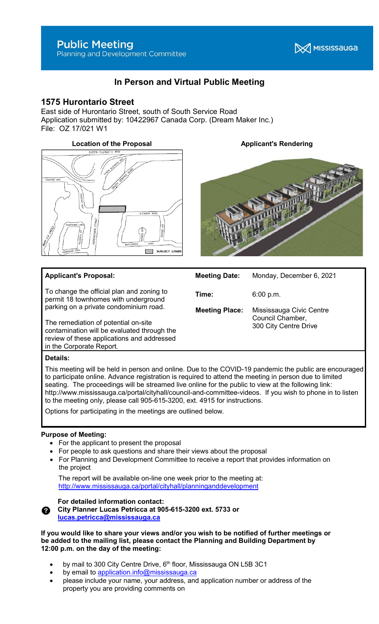**X** MISSISSAUGA

# In Person and Virtual Public Meeting

## 1575 Hurontario Street

East side of Hurontario Street, south of South Service Road Application submitted by: 10422967 Canada Corp. (Dream Maker Inc.) File: OZ 17/021 W1

## Location of the Proposal **Applicant's Rendering**



## Applicant's Proposal:

To change the official plan and zoning to permit 18 townhomes with underground parking on a private condominium road.

The remediation of potential on-site contamination will be evaluated through the review of these applications and addressed in the Corporate Report.



Meeting Date: Monday, December 6, 2021

Time: 6:00 p.m.

Meeting Place: Mississauga Civic Centre Council Chamber, 300 City Centre Drive

## Details:

This meeting will be held in person and online. Due to the COVID-19 pandemic the public are encouraged to participate online. Advance registration is required to attend the meeting in person due to limited seating. The proceedings will be streamed live online for the public to view at the following link: http://www.mississauga.ca/portal/cityhall/council-and-committee-videos. If you wish to phone in to listen to the meeting only, please call 905-615-3200, ext. 4915 for instructions.

Options for participating in the meetings are outlined below.

## Purpose of Meeting:

- For the applicant to present the proposal
- For people to ask questions and share their views about the proposal
- For Planning and Development Committee to receive a report that provides information on the project

 The report will be available on-line one week prior to the meeting at: http://www.mississauga.ca/portal/cityhall/planninganddevelopment

![](_page_0_Picture_25.jpeg)

For detailed information contact: City Planner Lucas Petricca at 905-615-3200 ext. 5733 or

lucas.petricca@mississauga.ca

If you would like to share your views and/or you wish to be notified of further meetings or be added to the mailing list, please contact the Planning and Building Department by 12:00 p.m. on the day of the meeting:

- by mail to 300 City Centre Drive,  $6<sup>th</sup>$  floor, Mississauga ON L5B 3C1
- by email to application.info@mississauga.ca
- please include your name, your address, and application number or address of the property you are providing comments on